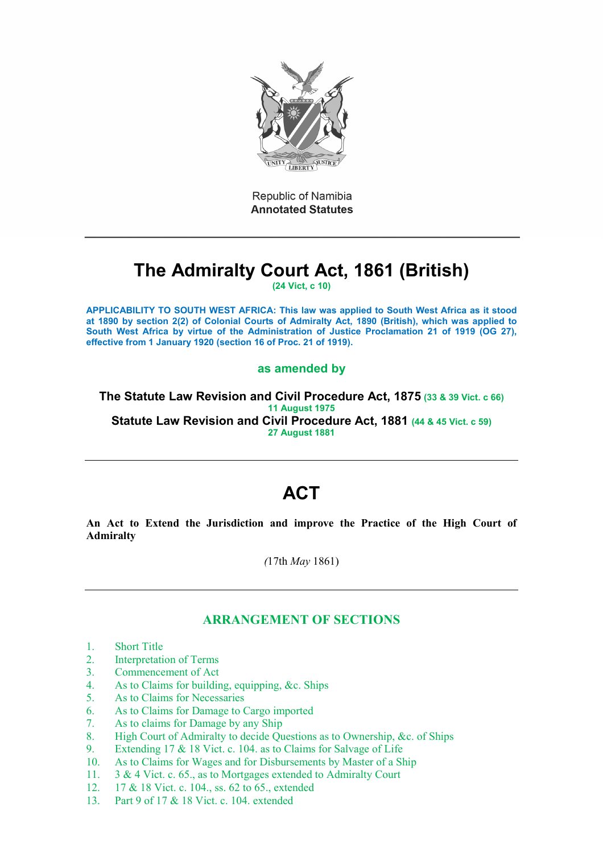

Republic of Namibia **Annotated Statutes** 

# **The Admiralty Court Act, 1861 (British)**

**(24 Vict, c 10)**

**APPLICABILITY TO SOUTH WEST AFRICA: This law was applied to South West Africa as it stood at 1890 by section 2(2) of Colonial Courts of Admiralty Act, 1890 (British), which was applied to South West Africa by virtue of the Administration of Justice Proclamation 21 of 1919 (OG 27), effective from 1 January 1920 (section 16 of Proc. 21 of 1919).**

### **as amended by**

**The Statute Law Revision and Civil Procedure Act, 1875 (33 & 39 Vict. c 66) 11 August 1975 Statute Law Revision and Civil Procedure Act, 1881 (44 & 45 Vict. c 59) 27 August 1881** 

## **ACT**

**An Act to Extend the Jurisdiction and improve the Practice of the High Court of Admiralty**

*(*17th *May* 1861)

## **ARRANGEMENT OF SECTIONS**

- 1. Short Title
- 2. Interpretation of Terms
- 3. Commencement of Act
- 4. As to Claims for building, equipping, &c. Ships
- 5. As to Claims for Necessaries
- 6. As to Claims for Damage to Cargo imported
- 7. As to claims for Damage by any Ship
- 8. High Court of Admiralty to decide Questions as to Ownership, &c. of Ships
- 9. Extending 17 & 18 Vict. c. 104. as to Claims for Salvage of Life
- 10. As to Claims for Wages and for Disbursements by Master of a Ship
- 11. 3 & 4 Vict. c. 65., as to Mortgages extended to Admiralty Court
- 12. 17 & 18 Vict. c. 104., ss. 62 to 65., extended
- 13. Part 9 of 17 & 18 Vict. c. 104. extended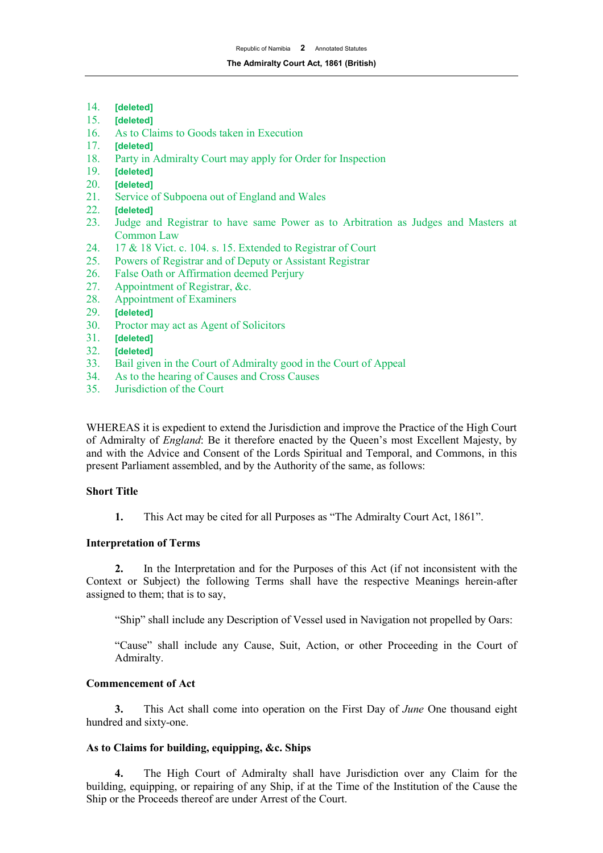- 14. **[deleted]**
- 15. **[deleted]**
- 16. As to Claims to Goods taken in Execution
- 17. **[deleted]**
- 18. Party in Admiralty Court may apply for Order for Inspection 19. **Ideleted**
- 19. **[deleted]**
- 20. **[deleted]**
- 21. Service of Subpoena out of England and Wales<br>22. **Ideleted1**
- 22. **[deleted]**
- 23. Judge and Registrar to have same Power as to Arbitration as Judges and Masters at Common Law
- 24. 17 & 18 Vict. c. 104. s. 15. Extended to Registrar of Court<br>25. Powers of Registrar and of Deputy or Assistant Registrar
- Powers of Registrar and of Deputy or Assistant Registrar
- 26. False Oath or Affirmation deemed Perjury
- 27. Appointment of Registrar, &c.
- 28. Appointment of Examiners
- 29. **[deleted]**
- 30. Proctor may act as Agent of Solicitors
- 31. **[deleted]**
- 32. **[deleted]**
- Bail given in the Court of Admiralty good in the Court of Appeal
- 34. As to the hearing of Causes and Cross Causes
- 35. Jurisdiction of the Court

WHEREAS it is expedient to extend the Jurisdiction and improve the Practice of the High Court of Admiralty of *England*: Be it therefore enacted by the Queen's most Excellent Majesty, by and with the Advice and Consent of the Lords Spiritual and Temporal, and Commons, in this present Parliament assembled, and by the Authority of the same, as follows:

#### **Short Title**

**1.** This Act may be cited for all Purposes as "The Admiralty Court Act, 1861".

#### **Interpretation of Terms**

**2.** In the Interpretation and for the Purposes of this Act (if not inconsistent with the Context or Subject) the following Terms shall have the respective Meanings herein-after assigned to them; that is to say,

"Ship" shall include any Description of Vessel used in Navigation not propelled by Oars:

"Cause" shall include any Cause, Suit, Action, or other Proceeding in the Court of Admiralty.

#### **Commencement of Act**

**3.** This Act shall come into operation on the First Day of *June* One thousand eight hundred and sixty-one.

#### **As to Claims for building, equipping, &c. Ships**

**4.** The High Court of Admiralty shall have Jurisdiction over any Claim for the building, equipping, or repairing of any Ship, if at the Time of the Institution of the Cause the Ship or the Proceeds thereof are under Arrest of the Court.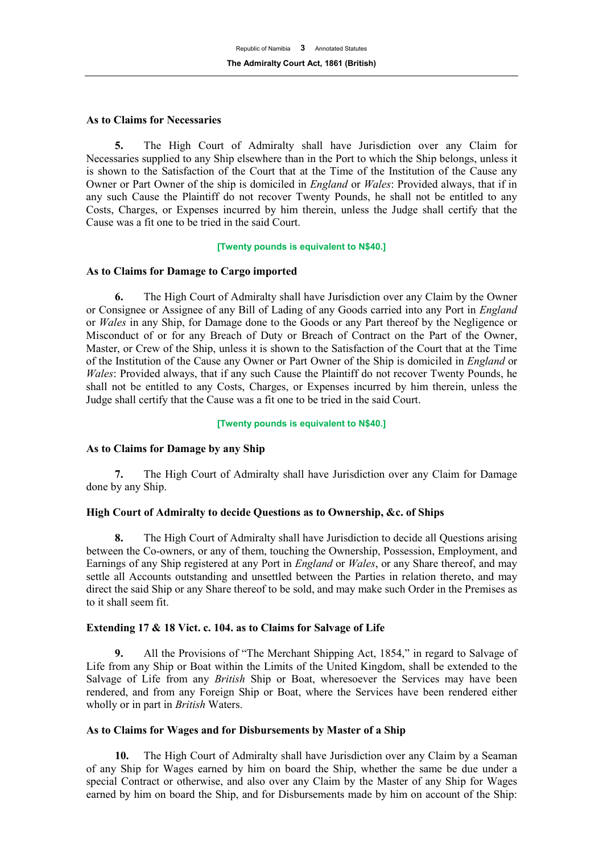#### **As to Claims for Necessaries**

**5.** The High Court of Admiralty shall have Jurisdiction over any Claim for Necessaries supplied to any Ship elsewhere than in the Port to which the Ship belongs, unless it is shown to the Satisfaction of the Court that at the Time of the Institution of the Cause any Owner or Part Owner of the ship is domiciled in *England* or *Wales*: Provided always, that if in any such Cause the Plaintiff do not recover Twenty Pounds, he shall not be entitled to any Costs, Charges, or Expenses incurred by him therein, unless the Judge shall certify that the Cause was a fit one to be tried in the said Court.

#### **[Twenty pounds is equivalent to N\$40.]**

#### **As to Claims for Damage to Cargo imported**

**6.** The High Court of Admiralty shall have Jurisdiction over any Claim by the Owner or Consignee or Assignee of any Bill of Lading of any Goods carried into any Port in *England* or *Wales* in any Ship, for Damage done to the Goods or any Part thereof by the Negligence or Misconduct of or for any Breach of Duty or Breach of Contract on the Part of the Owner, Master, or Crew of the Ship, unless it is shown to the Satisfaction of the Court that at the Time of the Institution of the Cause any Owner or Part Owner of the Ship is domiciled in *England* or *Wales*: Provided always, that if any such Cause the Plaintiff do not recover Twenty Pounds, he shall not be entitled to any Costs, Charges, or Expenses incurred by him therein, unless the Judge shall certify that the Cause was a fit one to be tried in the said Court.

#### **[Twenty pounds is equivalent to N\$40.]**

#### **As to Claims for Damage by any Ship**

**7.** The High Court of Admiralty shall have Jurisdiction over any Claim for Damage done by any Ship.

#### **High Court of Admiralty to decide Questions as to Ownership, &c. of Ships**

**8.** The High Court of Admiralty shall have Jurisdiction to decide all Questions arising between the Co-owners, or any of them, touching the Ownership, Possession, Employment, and Earnings of any Ship registered at any Port in *England* or *Wales*, or any Share thereof, and may settle all Accounts outstanding and unsettled between the Parties in relation thereto, and may direct the said Ship or any Share thereof to be sold, and may make such Order in the Premises as to it shall seem fit.

#### **Extending 17 & 18 Vict. c. 104. as to Claims for Salvage of Life**

**9.** All the Provisions of "The Merchant Shipping Act, 1854," in regard to Salvage of Life from any Ship or Boat within the Limits of the United Kingdom, shall be extended to the Salvage of Life from any *British* Ship or Boat, wheresoever the Services may have been rendered, and from any Foreign Ship or Boat, where the Services have been rendered either wholly or in part in *British* Waters.

#### **As to Claims for Wages and for Disbursements by Master of a Ship**

**10.** The High Court of Admiralty shall have Jurisdiction over any Claim by a Seaman of any Ship for Wages earned by him on board the Ship, whether the same be due under a special Contract or otherwise, and also over any Claim by the Master of any Ship for Wages earned by him on board the Ship, and for Disbursements made by him on account of the Ship: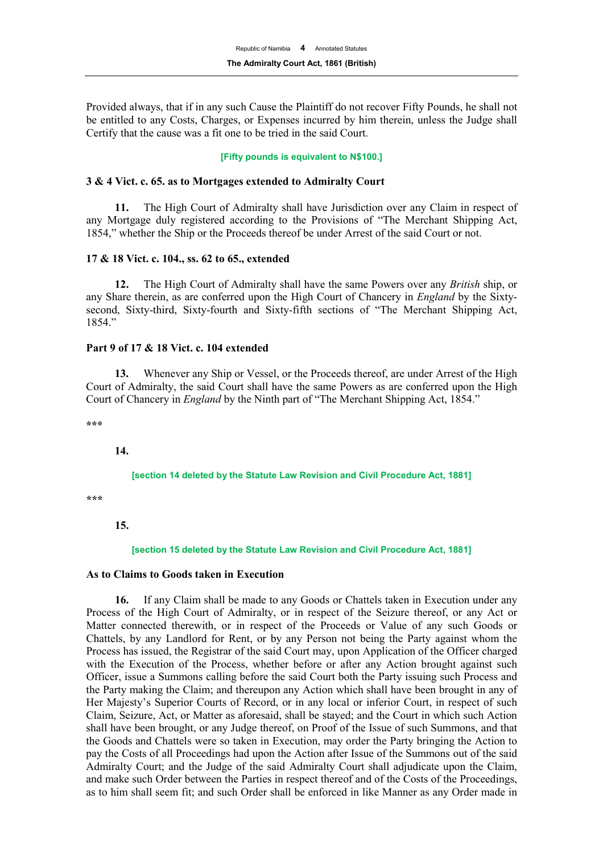Provided always, that if in any such Cause the Plaintiff do not recover Fifty Pounds, he shall not be entitled to any Costs, Charges, or Expenses incurred by him therein, unless the Judge shall Certify that the cause was a fit one to be tried in the said Court.

#### **[Fifty pounds is equivalent to N\$100.]**

#### **3 & 4 Vict. c. 65. as to Mortgages extended to Admiralty Court**

**11.** The High Court of Admiralty shall have Jurisdiction over any Claim in respect of any Mortgage duly registered according to the Provisions of "The Merchant Shipping Act, 1854," whether the Ship or the Proceeds thereof be under Arrest of the said Court or not.

#### **17 & 18 Vict. c. 104., ss. 62 to 65., extended**

**12.** The High Court of Admiralty shall have the same Powers over any *British* ship, or any Share therein, as are conferred upon the High Court of Chancery in *England* by the Sixtysecond, Sixty-third, Sixty-fourth and Sixty-fifth sections of "The Merchant Shipping Act, 1854."

#### **Part 9 of 17 & 18 Vict. c. 104 extended**

**13.** Whenever any Ship or Vessel, or the Proceeds thereof, are under Arrest of the High Court of Admiralty, the said Court shall have the same Powers as are conferred upon the High Court of Chancery in *England* by the Ninth part of "The Merchant Shipping Act, 1854."

**\*\*\*** 

**14.**

#### **[section 14 deleted by the Statute Law Revision and Civil Procedure Act, 1881]**

**\*\*\*** 

**15.**

#### **[section 15 deleted by the Statute Law Revision and Civil Procedure Act, 1881]**

#### **As to Claims to Goods taken in Execution**

**16.** If any Claim shall be made to any Goods or Chattels taken in Execution under any Process of the High Court of Admiralty, or in respect of the Seizure thereof, or any Act or Matter connected therewith, or in respect of the Proceeds or Value of any such Goods or Chattels, by any Landlord for Rent, or by any Person not being the Party against whom the Process has issued, the Registrar of the said Court may, upon Application of the Officer charged with the Execution of the Process, whether before or after any Action brought against such Officer, issue a Summons calling before the said Court both the Party issuing such Process and the Party making the Claim; and thereupon any Action which shall have been brought in any of Her Majesty's Superior Courts of Record, or in any local or inferior Court, in respect of such Claim, Seizure, Act, or Matter as aforesaid, shall be stayed; and the Court in which such Action shall have been brought, or any Judge thereof, on Proof of the Issue of such Summons, and that the Goods and Chattels were so taken in Execution, may order the Party bringing the Action to pay the Costs of all Proceedings had upon the Action after Issue of the Summons out of the said Admiralty Court; and the Judge of the said Admiralty Court shall adjudicate upon the Claim, and make such Order between the Parties in respect thereof and of the Costs of the Proceedings, as to him shall seem fit; and such Order shall be enforced in like Manner as any Order made in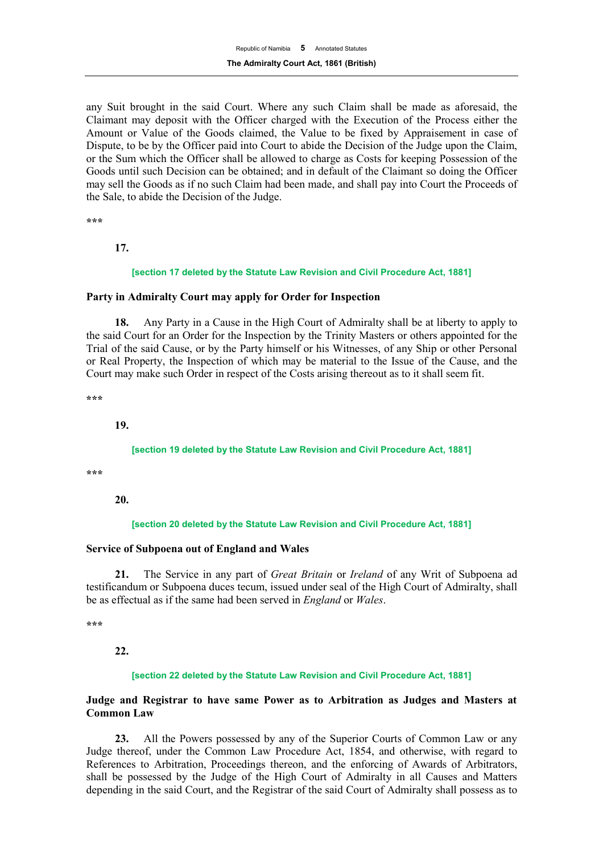any Suit brought in the said Court. Where any such Claim shall be made as aforesaid, the Claimant may deposit with the Officer charged with the Execution of the Process either the Amount or Value of the Goods claimed, the Value to be fixed by Appraisement in case of Dispute, to be by the Officer paid into Court to abide the Decision of the Judge upon the Claim, or the Sum which the Officer shall be allowed to charge as Costs for keeping Possession of the Goods until such Decision can be obtained; and in default of the Claimant so doing the Officer may sell the Goods as if no such Claim had been made, and shall pay into Court the Proceeds of the Sale, to abide the Decision of the Judge.

**\*\*\***

#### **17.**

#### **[section 17 deleted by the Statute Law Revision and Civil Procedure Act, 1881]**

#### **Party in Admiralty Court may apply for Order for Inspection**

**18.** Any Party in a Cause in the High Court of Admiralty shall be at liberty to apply to the said Court for an Order for the Inspection by the Trinity Masters or others appointed for the Trial of the said Cause, or by the Party himself or his Witnesses, of any Ship or other Personal or Real Property, the Inspection of which may be material to the Issue of the Cause, and the Court may make such Order in respect of the Costs arising thereout as to it shall seem fit.

**\*\*\*** 

**19.**

#### **[section 19 deleted by the Statute Law Revision and Civil Procedure Act, 1881]**

**\*\*\***

**20.**

#### **[section 20 deleted by the Statute Law Revision and Civil Procedure Act, 1881]**

#### **Service of Subpoena out of England and Wales**

**21.** The Service in any part of *Great Britain* or *Ireland* of any Writ of Subpoena ad testificandum or Subpoena duces tecum, issued under seal of the High Court of Admiralty, shall be as effectual as if the same had been served in *England* or *Wales*.

**\*\*\***

**22.**

#### **[section 22 deleted by the Statute Law Revision and Civil Procedure Act, 1881]**

#### **Judge and Registrar to have same Power as to Arbitration as Judges and Masters at Common Law**

**23.** All the Powers possessed by any of the Superior Courts of Common Law or any Judge thereof, under the Common Law Procedure Act, 1854, and otherwise, with regard to References to Arbitration, Proceedings thereon, and the enforcing of Awards of Arbitrators, shall be possessed by the Judge of the High Court of Admiralty in all Causes and Matters depending in the said Court, and the Registrar of the said Court of Admiralty shall possess as to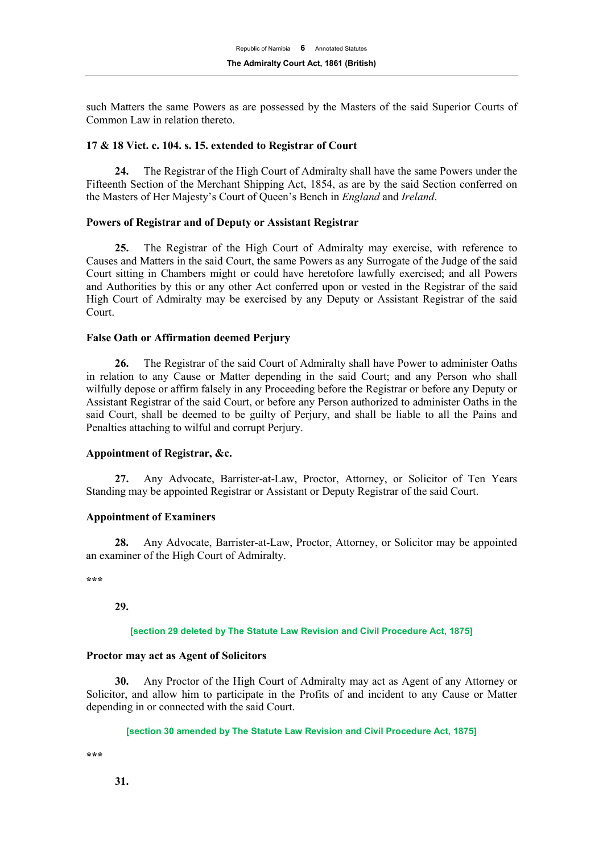such Matters the same Powers as are possessed by the Masters of the said Superior Courts of Common Law in relation thereto.

#### **17 & 18 Vict. c. 104. s. 15. extended to Registrar of Court**

**24.** The Registrar of the High Court of Admiralty shall have the same Powers under the Fifteenth Section of the Merchant Shipping Act, 1854, as are by the said Section conferred on the Masters of Her Majesty's Court of Queen's Bench in *England* and *Ireland*.

#### **Powers of Registrar and of Deputy or Assistant Registrar**

**25.** The Registrar of the High Court of Admiralty may exercise, with reference to Causes and Matters in the said Court, the same Powers as any Surrogate of the Judge of the said Court sitting in Chambers might or could have heretofore lawfully exercised; and all Powers and Authorities by this or any other Act conferred upon or vested in the Registrar of the said High Court of Admiralty may be exercised by any Deputy or Assistant Registrar of the said Court.

#### **False Oath or Affirmation deemed Perjury**

**26.** The Registrar of the said Court of Admiralty shall have Power to administer Oaths in relation to any Cause or Matter depending in the said Court; and any Person who shall wilfully depose or affirm falsely in any Proceeding before the Registrar or before any Deputy or Assistant Registrar of the said Court, or before any Person authorized to administer Oaths in the said Court, shall be deemed to be guilty of Perjury, and shall be liable to all the Pains and Penalties attaching to wilful and corrupt Perjury.

#### **Appointment of Registrar, &c.**

**27.** Any Advocate, Barrister-at-Law, Proctor, Attorney, or Solicitor of Ten Years Standing may be appointed Registrar or Assistant or Deputy Registrar of the said Court.

#### **Appointment of Examiners**

**28.** Any Advocate, Barrister-at-Law, Proctor, Attorney, or Solicitor may be appointed an examiner of the High Court of Admiralty.

**\*\*\*** 

**29.**

#### **[section 29 deleted by The Statute Law Revision and Civil Procedure Act, 1875]**

#### **Proctor may act as Agent of Solicitors**

**30.** Any Proctor of the High Court of Admiralty may act as Agent of any Attorney or Solicitor, and allow him to participate in the Profits of and incident to any Cause or Matter depending in or connected with the said Court.

**[section 30 amended by The Statute Law Revision and Civil Procedure Act, 1875]**

**\*\*\*** 

**31.**